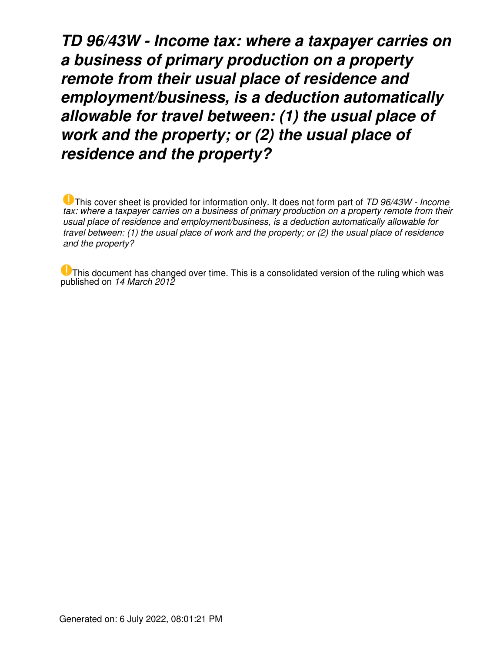*TD 96/43W - Income tax: where a taxpayer carries on a business of primary production on a property remote from their usual place of residence and employment/business, is a deduction automatically allowable for travel between: (1) the usual place of work and the property; or (2) the usual place of residence and the property?*

This cover sheet is provided for information only. It does not form part of *TD 96/43W - Income tax: where a taxpayer carries on a business of primary production on a property remote from their usual place of residence and employment/business, is a deduction automatically allowable for travel between: (1) the usual place of work and the property; or (2) the usual place of residence and the property?*

 $\bigcup$  This document has changed over time. This is a consolidated version of the ruling which was published on *14 March 2012*